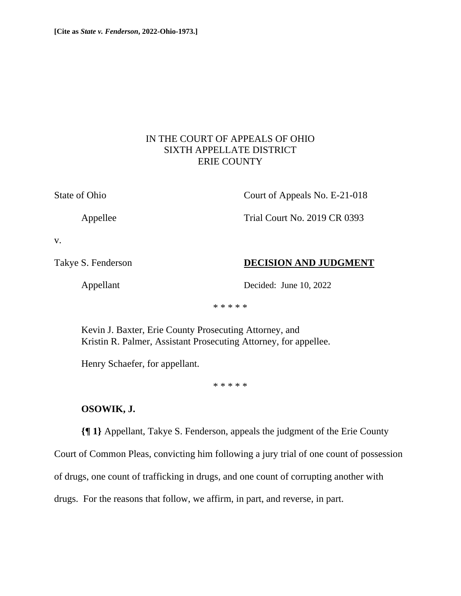## IN THE COURT OF APPEALS OF OHIO SIXTH APPELLATE DISTRICT ERIE COUNTY

State of Ohio Court of Appeals No. E-21-018

Appellee Trial Court No. 2019 CR 0393

v.

Takye S. Fenderson **DECISION AND JUDGMENT** 

Appellant Decided: June 10, 2022

\* \* \* \* \*

Kevin J. Baxter, Erie County Prosecuting Attorney, and Kristin R. Palmer, Assistant Prosecuting Attorney, for appellee.

Henry Schaefer, for appellant.

\* \* \* \* \*

# **OSOWIK, J.**

**{¶ 1}** Appellant, Takye S. Fenderson, appeals the judgment of the Erie County

Court of Common Pleas, convicting him following a jury trial of one count of possession

of drugs, one count of trafficking in drugs, and one count of corrupting another with

drugs. For the reasons that follow, we affirm, in part, and reverse, in part.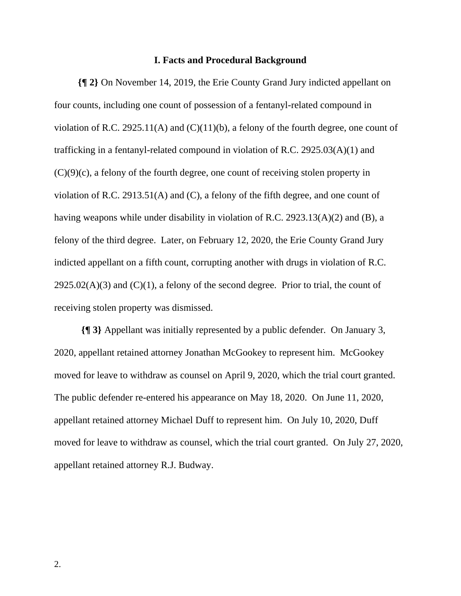#### **I. Facts and Procedural Background**

**{¶ 2}** On November 14, 2019, the Erie County Grand Jury indicted appellant on four counts, including one count of possession of a fentanyl-related compound in violation of R.C. 2925.11(A) and  $(C)(11)(b)$ , a felony of the fourth degree, one count of trafficking in a fentanyl-related compound in violation of R.C. 2925.03(A)(1) and (C)(9)(c), a felony of the fourth degree, one count of receiving stolen property in violation of R.C. 2913.51(A) and (C), a felony of the fifth degree, and one count of having weapons while under disability in violation of R.C. 2923.13(A)(2) and (B), a felony of the third degree. Later, on February 12, 2020, the Erie County Grand Jury indicted appellant on a fifth count, corrupting another with drugs in violation of R.C.  $2925.02(A)(3)$  and  $(C)(1)$ , a felony of the second degree. Prior to trial, the count of receiving stolen property was dismissed.

**{¶ 3}** Appellant was initially represented by a public defender. On January 3, 2020, appellant retained attorney Jonathan McGookey to represent him. McGookey moved for leave to withdraw as counsel on April 9, 2020, which the trial court granted. The public defender re-entered his appearance on May 18, 2020. On June 11, 2020, appellant retained attorney Michael Duff to represent him. On July 10, 2020, Duff moved for leave to withdraw as counsel, which the trial court granted. On July 27, 2020, appellant retained attorney R.J. Budway.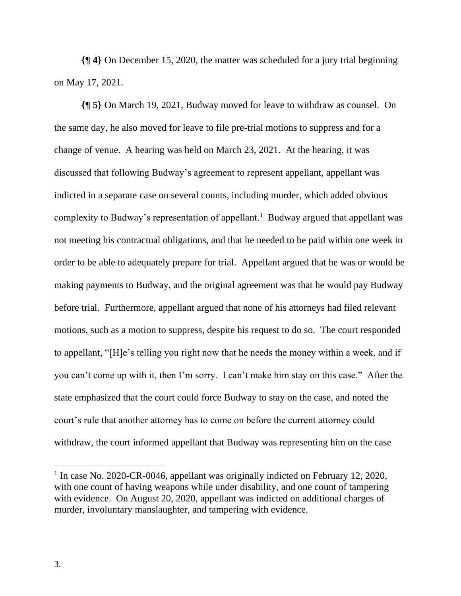**{¶ 4}** On December 15, 2020, the matter was scheduled for a jury trial beginning on May 17, 2021.

**{¶ 5}** On March 19, 2021, Budway moved for leave to withdraw as counsel. On the same day, he also moved for leave to file pre-trial motions to suppress and for a change of venue. A hearing was held on March 23, 2021. At the hearing, it was discussed that following Budway's agreement to represent appellant, appellant was indicted in a separate case on several counts, including murder, which added obvious complexity to Budway's representation of appellant.<sup>1</sup> Budway argued that appellant was not meeting his contractual obligations, and that he needed to be paid within one week in order to be able to adequately prepare for trial. Appellant argued that he was or would be making payments to Budway, and the original agreement was that he would pay Budway before trial. Furthermore, appellant argued that none of his attorneys had filed relevant motions, such as a motion to suppress, despite his request to do so. The court responded to appellant, "[H]e's telling you right now that he needs the money within a week, and if you can't come up with it, then I'm sorry. I can't make him stay on this case." After the state emphasized that the court could force Budway to stay on the case, and noted the court's rule that another attorney has to come on before the current attorney could withdraw, the court informed appellant that Budway was representing him on the case

<sup>&</sup>lt;sup>1</sup> In case No. 2020-CR-0046, appellant was originally indicted on February 12, 2020, with one count of having weapons while under disability, and one count of tampering with evidence. On August 20, 2020, appellant was indicted on additional charges of murder, involuntary manslaughter, and tampering with evidence.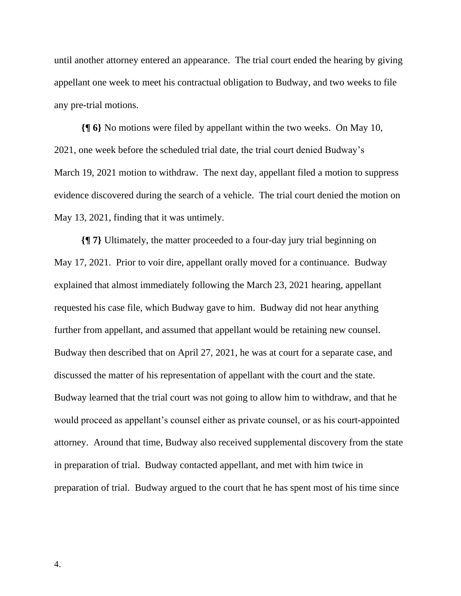until another attorney entered an appearance. The trial court ended the hearing by giving appellant one week to meet his contractual obligation to Budway, and two weeks to file any pre-trial motions.

**{¶ 6}** No motions were filed by appellant within the two weeks. On May 10, 2021, one week before the scheduled trial date, the trial court denied Budway's March 19, 2021 motion to withdraw. The next day, appellant filed a motion to suppress evidence discovered during the search of a vehicle. The trial court denied the motion on May 13, 2021, finding that it was untimely.

**{¶ 7}** Ultimately, the matter proceeded to a four-day jury trial beginning on May 17, 2021. Prior to voir dire, appellant orally moved for a continuance. Budway explained that almost immediately following the March 23, 2021 hearing, appellant requested his case file, which Budway gave to him. Budway did not hear anything further from appellant, and assumed that appellant would be retaining new counsel. Budway then described that on April 27, 2021, he was at court for a separate case, and discussed the matter of his representation of appellant with the court and the state. Budway learned that the trial court was not going to allow him to withdraw, and that he would proceed as appellant's counsel either as private counsel, or as his court-appointed attorney. Around that time, Budway also received supplemental discovery from the state in preparation of trial. Budway contacted appellant, and met with him twice in preparation of trial. Budway argued to the court that he has spent most of his time since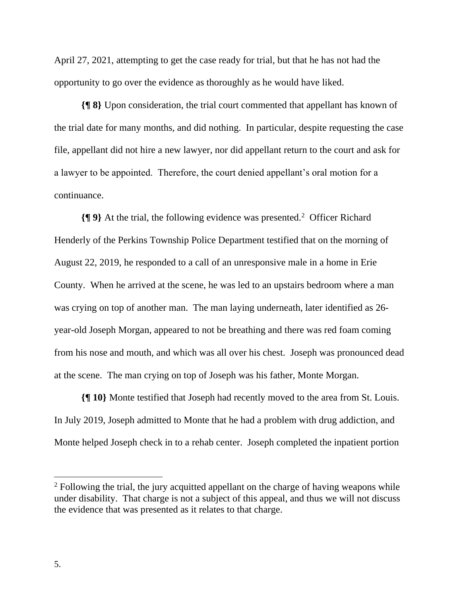April 27, 2021, attempting to get the case ready for trial, but that he has not had the opportunity to go over the evidence as thoroughly as he would have liked.

**{¶ 8}** Upon consideration, the trial court commented that appellant has known of the trial date for many months, and did nothing. In particular, despite requesting the case file, appellant did not hire a new lawyer, nor did appellant return to the court and ask for a lawyer to be appointed. Therefore, the court denied appellant's oral motion for a continuance.

**{¶ 9}** At the trial, the following evidence was presented.<sup>2</sup> Officer Richard Henderly of the Perkins Township Police Department testified that on the morning of August 22, 2019, he responded to a call of an unresponsive male in a home in Erie County. When he arrived at the scene, he was led to an upstairs bedroom where a man was crying on top of another man. The man laying underneath, later identified as 26 year-old Joseph Morgan, appeared to not be breathing and there was red foam coming from his nose and mouth, and which was all over his chest. Joseph was pronounced dead at the scene. The man crying on top of Joseph was his father, Monte Morgan.

**{¶ 10}** Monte testified that Joseph had recently moved to the area from St. Louis. In July 2019, Joseph admitted to Monte that he had a problem with drug addiction, and Monte helped Joseph check in to a rehab center. Joseph completed the inpatient portion

 $2$  Following the trial, the jury acquitted appellant on the charge of having weapons while under disability. That charge is not a subject of this appeal, and thus we will not discuss the evidence that was presented as it relates to that charge.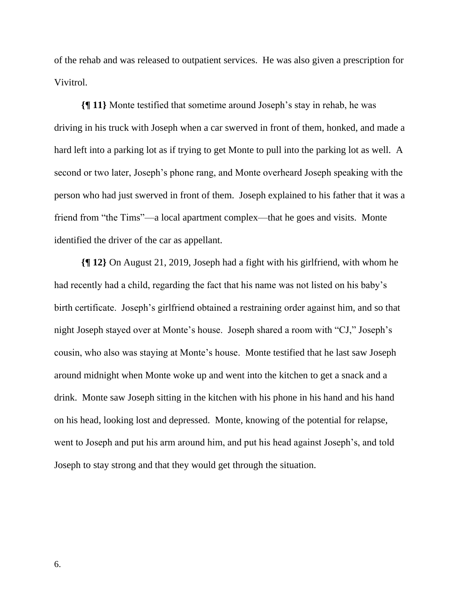of the rehab and was released to outpatient services. He was also given a prescription for Vivitrol.

**{¶ 11}** Monte testified that sometime around Joseph's stay in rehab, he was driving in his truck with Joseph when a car swerved in front of them, honked, and made a hard left into a parking lot as if trying to get Monte to pull into the parking lot as well. A second or two later, Joseph's phone rang, and Monte overheard Joseph speaking with the person who had just swerved in front of them. Joseph explained to his father that it was a friend from "the Tims"—a local apartment complex—that he goes and visits. Monte identified the driver of the car as appellant.

**{¶ 12}** On August 21, 2019, Joseph had a fight with his girlfriend, with whom he had recently had a child, regarding the fact that his name was not listed on his baby's birth certificate. Joseph's girlfriend obtained a restraining order against him, and so that night Joseph stayed over at Monte's house. Joseph shared a room with "CJ," Joseph's cousin, who also was staying at Monte's house. Monte testified that he last saw Joseph around midnight when Monte woke up and went into the kitchen to get a snack and a drink. Monte saw Joseph sitting in the kitchen with his phone in his hand and his hand on his head, looking lost and depressed. Monte, knowing of the potential for relapse, went to Joseph and put his arm around him, and put his head against Joseph's, and told Joseph to stay strong and that they would get through the situation.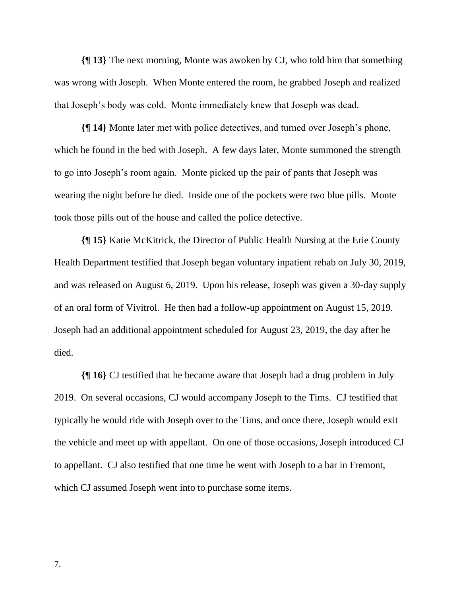**{¶ 13}** The next morning, Monte was awoken by CJ, who told him that something was wrong with Joseph. When Monte entered the room, he grabbed Joseph and realized that Joseph's body was cold. Monte immediately knew that Joseph was dead.

**{¶ 14}** Monte later met with police detectives, and turned over Joseph's phone, which he found in the bed with Joseph. A few days later, Monte summoned the strength to go into Joseph's room again. Monte picked up the pair of pants that Joseph was wearing the night before he died. Inside one of the pockets were two blue pills. Monte took those pills out of the house and called the police detective.

**{¶ 15}** Katie McKitrick, the Director of Public Health Nursing at the Erie County Health Department testified that Joseph began voluntary inpatient rehab on July 30, 2019, and was released on August 6, 2019. Upon his release, Joseph was given a 30-day supply of an oral form of Vivitrol. He then had a follow-up appointment on August 15, 2019. Joseph had an additional appointment scheduled for August 23, 2019, the day after he died.

**{¶ 16}** CJ testified that he became aware that Joseph had a drug problem in July 2019. On several occasions, CJ would accompany Joseph to the Tims. CJ testified that typically he would ride with Joseph over to the Tims, and once there, Joseph would exit the vehicle and meet up with appellant. On one of those occasions, Joseph introduced CJ to appellant. CJ also testified that one time he went with Joseph to a bar in Fremont, which CJ assumed Joseph went into to purchase some items.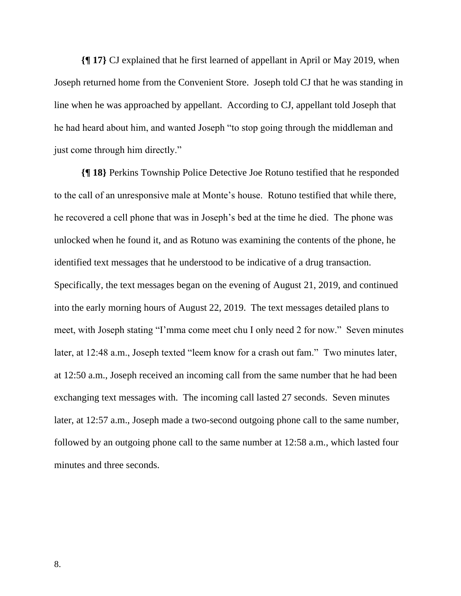**{¶ 17}** CJ explained that he first learned of appellant in April or May 2019, when Joseph returned home from the Convenient Store. Joseph told CJ that he was standing in line when he was approached by appellant. According to CJ, appellant told Joseph that he had heard about him, and wanted Joseph "to stop going through the middleman and just come through him directly."

**{¶ 18}** Perkins Township Police Detective Joe Rotuno testified that he responded to the call of an unresponsive male at Monte's house. Rotuno testified that while there, he recovered a cell phone that was in Joseph's bed at the time he died. The phone was unlocked when he found it, and as Rotuno was examining the contents of the phone, he identified text messages that he understood to be indicative of a drug transaction. Specifically, the text messages began on the evening of August 21, 2019, and continued into the early morning hours of August 22, 2019. The text messages detailed plans to meet, with Joseph stating "I'mma come meet chu I only need 2 for now." Seven minutes later, at 12:48 a.m., Joseph texted "leem know for a crash out fam." Two minutes later, at 12:50 a.m., Joseph received an incoming call from the same number that he had been exchanging text messages with. The incoming call lasted 27 seconds. Seven minutes later, at 12:57 a.m., Joseph made a two-second outgoing phone call to the same number, followed by an outgoing phone call to the same number at 12:58 a.m., which lasted four minutes and three seconds.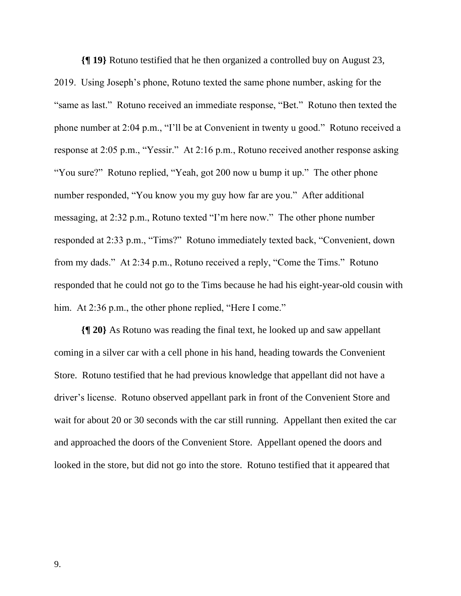**{¶ 19}** Rotuno testified that he then organized a controlled buy on August 23, 2019. Using Joseph's phone, Rotuno texted the same phone number, asking for the "same as last." Rotuno received an immediate response, "Bet." Rotuno then texted the phone number at 2:04 p.m., "I'll be at Convenient in twenty u good." Rotuno received a response at 2:05 p.m., "Yessir." At 2:16 p.m., Rotuno received another response asking "You sure?" Rotuno replied, "Yeah, got 200 now u bump it up." The other phone number responded, "You know you my guy how far are you." After additional messaging, at 2:32 p.m., Rotuno texted "I'm here now." The other phone number responded at 2:33 p.m., "Tims?" Rotuno immediately texted back, "Convenient, down from my dads." At 2:34 p.m., Rotuno received a reply, "Come the Tims." Rotuno responded that he could not go to the Tims because he had his eight-year-old cousin with him. At 2:36 p.m., the other phone replied, "Here I come."

**{¶ 20}** As Rotuno was reading the final text, he looked up and saw appellant coming in a silver car with a cell phone in his hand, heading towards the Convenient Store. Rotuno testified that he had previous knowledge that appellant did not have a driver's license. Rotuno observed appellant park in front of the Convenient Store and wait for about 20 or 30 seconds with the car still running. Appellant then exited the car and approached the doors of the Convenient Store. Appellant opened the doors and looked in the store, but did not go into the store. Rotuno testified that it appeared that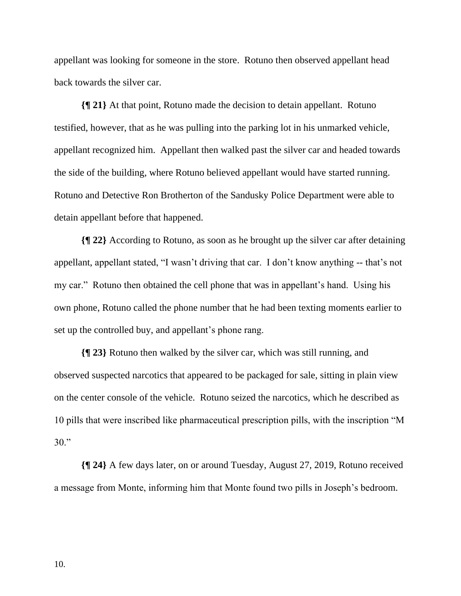appellant was looking for someone in the store. Rotuno then observed appellant head back towards the silver car.

**{¶ 21}** At that point, Rotuno made the decision to detain appellant. Rotuno testified, however, that as he was pulling into the parking lot in his unmarked vehicle, appellant recognized him. Appellant then walked past the silver car and headed towards the side of the building, where Rotuno believed appellant would have started running. Rotuno and Detective Ron Brotherton of the Sandusky Police Department were able to detain appellant before that happened.

**{¶ 22}** According to Rotuno, as soon as he brought up the silver car after detaining appellant, appellant stated, "I wasn't driving that car. I don't know anything -- that's not my car." Rotuno then obtained the cell phone that was in appellant's hand. Using his own phone, Rotuno called the phone number that he had been texting moments earlier to set up the controlled buy, and appellant's phone rang.

**{¶ 23}** Rotuno then walked by the silver car, which was still running, and observed suspected narcotics that appeared to be packaged for sale, sitting in plain view on the center console of the vehicle. Rotuno seized the narcotics, which he described as 10 pills that were inscribed like pharmaceutical prescription pills, with the inscription "M 30."

**{¶ 24}** A few days later, on or around Tuesday, August 27, 2019, Rotuno received a message from Monte, informing him that Monte found two pills in Joseph's bedroom.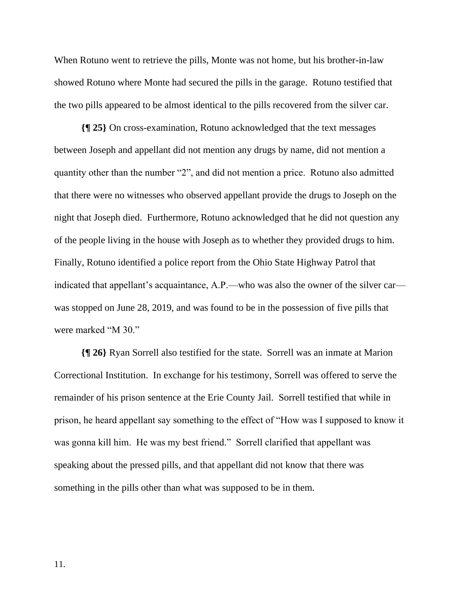When Rotuno went to retrieve the pills, Monte was not home, but his brother-in-law showed Rotuno where Monte had secured the pills in the garage. Rotuno testified that the two pills appeared to be almost identical to the pills recovered from the silver car.

**{¶ 25}** On cross-examination, Rotuno acknowledged that the text messages between Joseph and appellant did not mention any drugs by name, did not mention a quantity other than the number "2", and did not mention a price. Rotuno also admitted that there were no witnesses who observed appellant provide the drugs to Joseph on the night that Joseph died. Furthermore, Rotuno acknowledged that he did not question any of the people living in the house with Joseph as to whether they provided drugs to him. Finally, Rotuno identified a police report from the Ohio State Highway Patrol that indicated that appellant's acquaintance, A.P.—who was also the owner of the silver car was stopped on June 28, 2019, and was found to be in the possession of five pills that were marked "M 30."

**{¶ 26}** Ryan Sorrell also testified for the state. Sorrell was an inmate at Marion Correctional Institution. In exchange for his testimony, Sorrell was offered to serve the remainder of his prison sentence at the Erie County Jail. Sorrell testified that while in prison, he heard appellant say something to the effect of "How was I supposed to know it was gonna kill him. He was my best friend." Sorrell clarified that appellant was speaking about the pressed pills, and that appellant did not know that there was something in the pills other than what was supposed to be in them.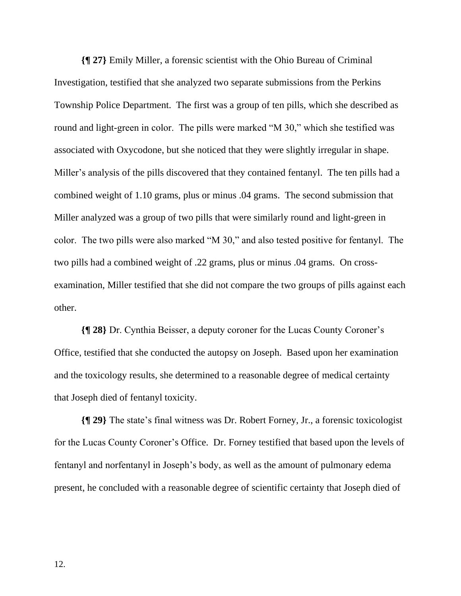**{¶ 27}** Emily Miller, a forensic scientist with the Ohio Bureau of Criminal Investigation, testified that she analyzed two separate submissions from the Perkins Township Police Department. The first was a group of ten pills, which she described as round and light-green in color. The pills were marked "M 30," which she testified was associated with Oxycodone, but she noticed that they were slightly irregular in shape. Miller's analysis of the pills discovered that they contained fentanyl. The ten pills had a combined weight of 1.10 grams, plus or minus .04 grams. The second submission that Miller analyzed was a group of two pills that were similarly round and light-green in color. The two pills were also marked "M 30," and also tested positive for fentanyl. The two pills had a combined weight of .22 grams, plus or minus .04 grams. On crossexamination, Miller testified that she did not compare the two groups of pills against each other.

**{¶ 28}** Dr. Cynthia Beisser, a deputy coroner for the Lucas County Coroner's Office, testified that she conducted the autopsy on Joseph. Based upon her examination and the toxicology results, she determined to a reasonable degree of medical certainty that Joseph died of fentanyl toxicity.

**{¶ 29}** The state's final witness was Dr. Robert Forney, Jr., a forensic toxicologist for the Lucas County Coroner's Office. Dr. Forney testified that based upon the levels of fentanyl and norfentanyl in Joseph's body, as well as the amount of pulmonary edema present, he concluded with a reasonable degree of scientific certainty that Joseph died of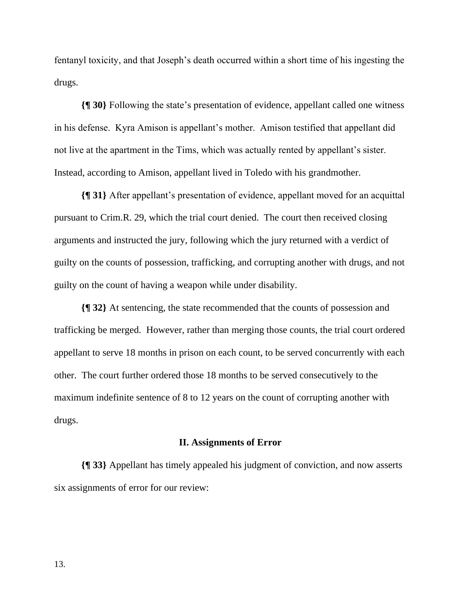fentanyl toxicity, and that Joseph's death occurred within a short time of his ingesting the drugs.

**{¶ 30}** Following the state's presentation of evidence, appellant called one witness in his defense. Kyra Amison is appellant's mother. Amison testified that appellant did not live at the apartment in the Tims, which was actually rented by appellant's sister. Instead, according to Amison, appellant lived in Toledo with his grandmother.

**{¶ 31}** After appellant's presentation of evidence, appellant moved for an acquittal pursuant to Crim.R. 29, which the trial court denied. The court then received closing arguments and instructed the jury, following which the jury returned with a verdict of guilty on the counts of possession, trafficking, and corrupting another with drugs, and not guilty on the count of having a weapon while under disability.

**{¶ 32}** At sentencing, the state recommended that the counts of possession and trafficking be merged. However, rather than merging those counts, the trial court ordered appellant to serve 18 months in prison on each count, to be served concurrently with each other. The court further ordered those 18 months to be served consecutively to the maximum indefinite sentence of 8 to 12 years on the count of corrupting another with drugs.

### **II. Assignments of Error**

**{¶ 33}** Appellant has timely appealed his judgment of conviction, and now asserts six assignments of error for our review: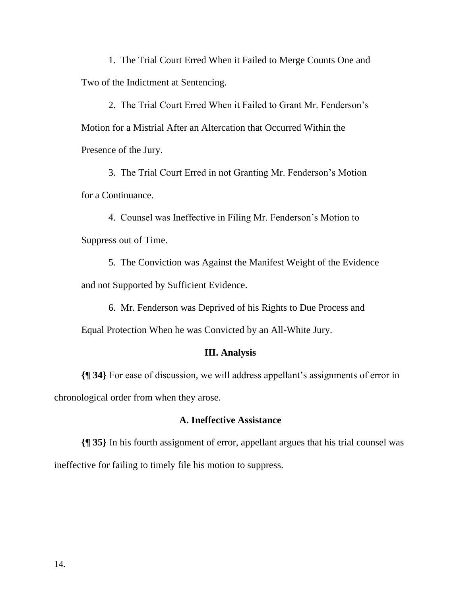1. The Trial Court Erred When it Failed to Merge Counts One and Two of the Indictment at Sentencing.

2. The Trial Court Erred When it Failed to Grant Mr. Fenderson's Motion for a Mistrial After an Altercation that Occurred Within the Presence of the Jury.

3. The Trial Court Erred in not Granting Mr. Fenderson's Motion for a Continuance.

4. Counsel was Ineffective in Filing Mr. Fenderson's Motion to Suppress out of Time.

5. The Conviction was Against the Manifest Weight of the Evidence and not Supported by Sufficient Evidence.

6. Mr. Fenderson was Deprived of his Rights to Due Process and

Equal Protection When he was Convicted by an All-White Jury.

## **III. Analysis**

**{¶ 34}** For ease of discussion, we will address appellant's assignments of error in chronological order from when they arose.

## **A. Ineffective Assistance**

**{¶ 35}** In his fourth assignment of error, appellant argues that his trial counsel was ineffective for failing to timely file his motion to suppress.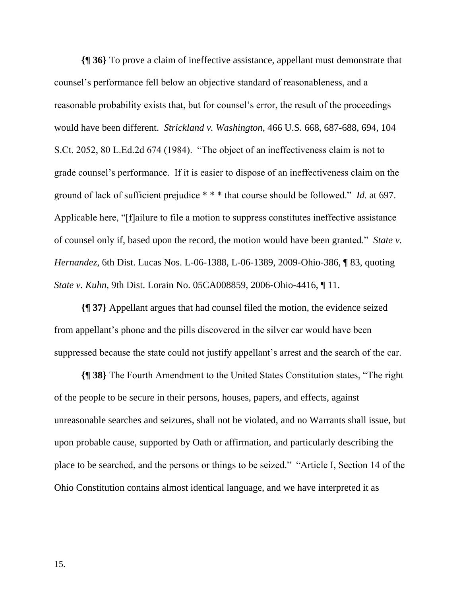**{¶ 36}** To prove a claim of ineffective assistance, appellant must demonstrate that counsel's performance fell below an objective standard of reasonableness, and a reasonable probability exists that, but for counsel's error, the result of the proceedings would have been different. *Strickland v. Washington*, 466 U.S. 668, 687-688, 694, 104 S.Ct. 2052, 80 L.Ed.2d 674 (1984). "The object of an ineffectiveness claim is not to grade counsel's performance. If it is easier to dispose of an ineffectiveness claim on the ground of lack of sufficient prejudice \* \* \* that course should be followed." *Id.* at 697. Applicable here, "[f]ailure to file a motion to suppress constitutes ineffective assistance of counsel only if, based upon the record, the motion would have been granted." *State v. Hernandez*, 6th Dist. Lucas Nos. L-06-1388, L-06-1389, 2009-Ohio-386, ¶ 83, quoting *State v. Kuhn*, 9th Dist. Lorain No. 05CA008859, 2006-Ohio-4416, ¶ 11.

**{¶ 37}** Appellant argues that had counsel filed the motion, the evidence seized from appellant's phone and the pills discovered in the silver car would have been suppressed because the state could not justify appellant's arrest and the search of the car.

**{¶ 38}** The Fourth Amendment to the United States Constitution states, "The right of the people to be secure in their persons, houses, papers, and effects, against unreasonable searches and seizures, shall not be violated, and no Warrants shall issue, but upon probable cause, supported by Oath or affirmation, and particularly describing the place to be searched, and the persons or things to be seized." "Article I, Section 14 of the Ohio Constitution contains almost identical language, and we have interpreted it as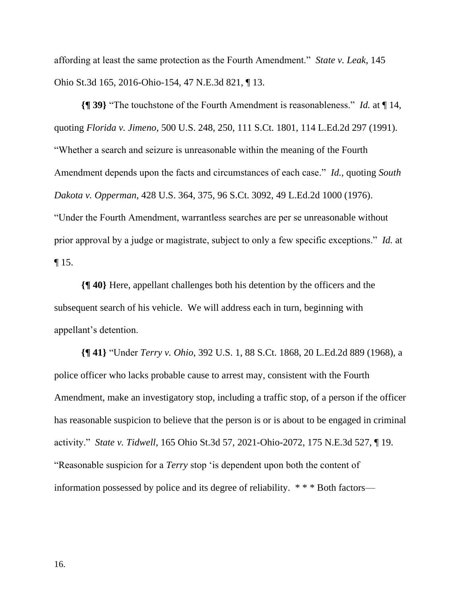affording at least the same protection as the Fourth Amendment." *State v. Leak*, 145 Ohio St.3d 165, 2016-Ohio-154, 47 N.E.3d 821, ¶ 13.

**{¶ 39}** "The touchstone of the Fourth Amendment is reasonableness." *Id.* at ¶ 14, quoting *Florida v. Jimeno*, 500 U.S. 248, 250, 111 S.Ct. 1801, 114 L.Ed.2d 297 (1991). "Whether a search and seizure is unreasonable within the meaning of the Fourth Amendment depends upon the facts and circumstances of each case." *Id.*, quoting *South Dakota v. Opperman*, 428 U.S. 364, 375, 96 S.Ct. 3092, 49 L.Ed.2d 1000 (1976). "Under the Fourth Amendment, warrantless searches are per se unreasonable without prior approval by a judge or magistrate, subject to only a few specific exceptions." *Id.* at ¶ 15.

**{¶ 40}** Here, appellant challenges both his detention by the officers and the subsequent search of his vehicle. We will address each in turn, beginning with appellant's detention.

**{¶ 41}** "Under *Terry v. Ohio*, 392 U.S. 1, 88 S.Ct. 1868, 20 L.Ed.2d 889 (1968), a police officer who lacks probable cause to arrest may, consistent with the Fourth Amendment, make an investigatory stop, including a traffic stop, of a person if the officer has reasonable suspicion to believe that the person is or is about to be engaged in criminal activity." *State v. Tidwell*, 165 Ohio St.3d 57, 2021-Ohio-2072, 175 N.E.3d 527, ¶ 19. "Reasonable suspicion for a *Terry* stop 'is dependent upon both the content of information possessed by police and its degree of reliability. \* \* \* Both factors—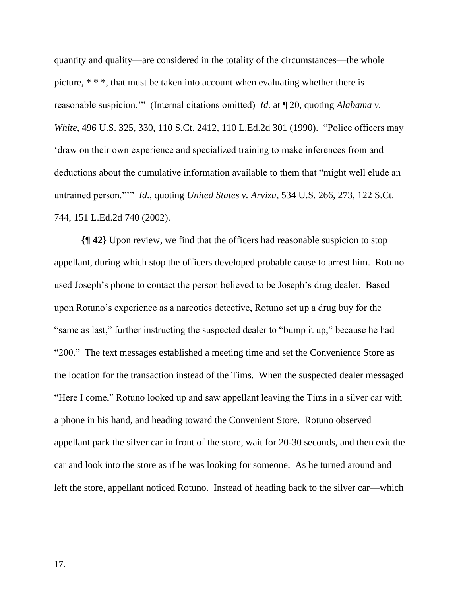quantity and quality—are considered in the totality of the circumstances—the whole picture, \* \* \*, that must be taken into account when evaluating whether there is reasonable suspicion.'" (Internal citations omitted) *Id.* at ¶ 20, quoting *Alabama v. White*, 496 U.S. 325, 330, 110 S.Ct. 2412, 110 L.Ed.2d 301 (1990). "Police officers may 'draw on their own experience and specialized training to make inferences from and deductions about the cumulative information available to them that "might well elude an untrained person."'" *Id.*, quoting *United States v. Arvizu*, 534 U.S. 266, 273, 122 S.Ct. 744, 151 L.Ed.2d 740 (2002).

**{¶ 42}** Upon review, we find that the officers had reasonable suspicion to stop appellant, during which stop the officers developed probable cause to arrest him. Rotuno used Joseph's phone to contact the person believed to be Joseph's drug dealer. Based upon Rotuno's experience as a narcotics detective, Rotuno set up a drug buy for the "same as last," further instructing the suspected dealer to "bump it up," because he had "200." The text messages established a meeting time and set the Convenience Store as the location for the transaction instead of the Tims. When the suspected dealer messaged "Here I come," Rotuno looked up and saw appellant leaving the Tims in a silver car with a phone in his hand, and heading toward the Convenient Store. Rotuno observed appellant park the silver car in front of the store, wait for 20-30 seconds, and then exit the car and look into the store as if he was looking for someone. As he turned around and left the store, appellant noticed Rotuno. Instead of heading back to the silver car—which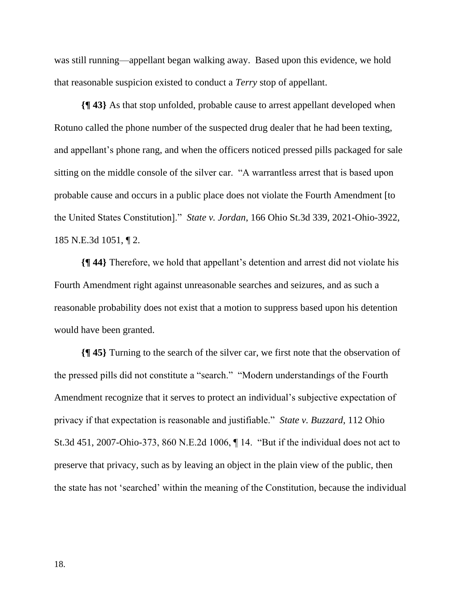was still running—appellant began walking away. Based upon this evidence, we hold that reasonable suspicion existed to conduct a *Terry* stop of appellant.

**{¶ 43}** As that stop unfolded, probable cause to arrest appellant developed when Rotuno called the phone number of the suspected drug dealer that he had been texting, and appellant's phone rang, and when the officers noticed pressed pills packaged for sale sitting on the middle console of the silver car. "A warrantless arrest that is based upon probable cause and occurs in a public place does not violate the Fourth Amendment [to the United States Constitution]." *State v. Jordan*, 166 Ohio St.3d 339, 2021-Ohio-3922, 185 N.E.3d 1051, ¶ 2.

**{¶ 44}** Therefore, we hold that appellant's detention and arrest did not violate his Fourth Amendment right against unreasonable searches and seizures, and as such a reasonable probability does not exist that a motion to suppress based upon his detention would have been granted.

**{¶ 45}** Turning to the search of the silver car, we first note that the observation of the pressed pills did not constitute a "search." "Modern understandings of the Fourth Amendment recognize that it serves to protect an individual's subjective expectation of privacy if that expectation is reasonable and justifiable." *State v. Buzzard*, 112 Ohio St.3d 451, 2007-Ohio-373, 860 N.E.2d 1006, ¶ 14. "But if the individual does not act to preserve that privacy, such as by leaving an object in the plain view of the public, then the state has not 'searched' within the meaning of the Constitution, because the individual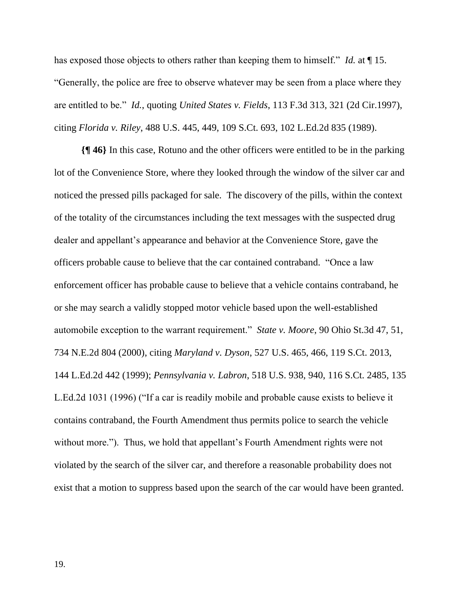has exposed those objects to others rather than keeping them to himself." *Id.* at ¶ 15. "Generally, the police are free to observe whatever may be seen from a place where they are entitled to be." *Id.*, quoting *United States v. Fields*, 113 F.3d 313, 321 (2d Cir.1997), citing *Florida v. Riley*, 488 U.S. 445, 449, 109 S.Ct. 693, 102 L.Ed.2d 835 (1989).

**{¶ 46}** In this case, Rotuno and the other officers were entitled to be in the parking lot of the Convenience Store, where they looked through the window of the silver car and noticed the pressed pills packaged for sale. The discovery of the pills, within the context of the totality of the circumstances including the text messages with the suspected drug dealer and appellant's appearance and behavior at the Convenience Store, gave the officers probable cause to believe that the car contained contraband. "Once a law enforcement officer has probable cause to believe that a vehicle contains contraband, he or she may search a validly stopped motor vehicle based upon the well-established automobile exception to the warrant requirement." *State v. Moore*, 90 Ohio St.3d 47, 51, 734 N.E.2d 804 (2000), citing *Maryland v. Dyson*, 527 U.S. 465, 466, 119 S.Ct. 2013, 144 L.Ed.2d 442 (1999); *Pennsylvania v. Labron*, 518 U.S. 938, 940, 116 S.Ct. 2485, 135 L.Ed.2d 1031 (1996) ("If a car is readily mobile and probable cause exists to believe it contains contraband, the Fourth Amendment thus permits police to search the vehicle without more."). Thus, we hold that appellant's Fourth Amendment rights were not violated by the search of the silver car, and therefore a reasonable probability does not exist that a motion to suppress based upon the search of the car would have been granted.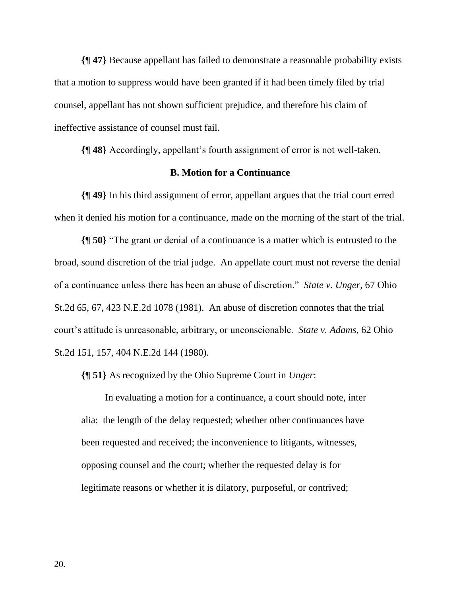**{¶ 47}** Because appellant has failed to demonstrate a reasonable probability exists that a motion to suppress would have been granted if it had been timely filed by trial counsel, appellant has not shown sufficient prejudice, and therefore his claim of ineffective assistance of counsel must fail.

**{¶ 48}** Accordingly, appellant's fourth assignment of error is not well-taken.

## **B. Motion for a Continuance**

**{¶ 49}** In his third assignment of error, appellant argues that the trial court erred when it denied his motion for a continuance, made on the morning of the start of the trial.

**{¶ 50}** "The grant or denial of a continuance is a matter which is entrusted to the broad, sound discretion of the trial judge. An appellate court must not reverse the denial of a continuance unless there has been an abuse of discretion." *State v. Unger*, 67 Ohio St.2d 65, 67, 423 N.E.2d 1078 (1981). An abuse of discretion connotes that the trial court's attitude is unreasonable, arbitrary, or unconscionable. *State v. Adams*, 62 Ohio St.2d 151, 157, 404 N.E.2d 144 (1980).

**{¶ 51}** As recognized by the Ohio Supreme Court in *Unger*:

In evaluating a motion for a continuance, a court should note, inter alia: the length of the delay requested; whether other continuances have been requested and received; the inconvenience to litigants, witnesses, opposing counsel and the court; whether the requested delay is for legitimate reasons or whether it is dilatory, purposeful, or contrived;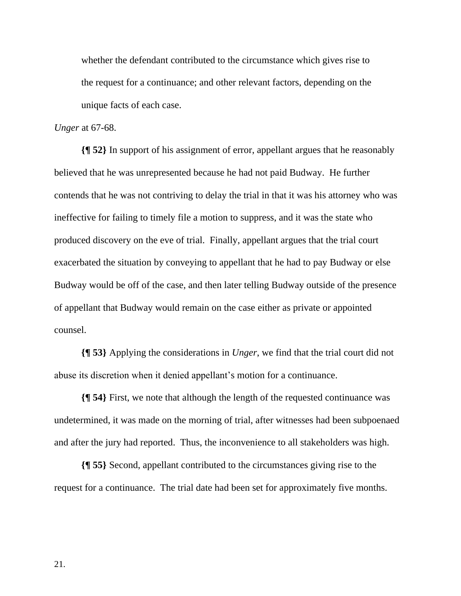whether the defendant contributed to the circumstance which gives rise to the request for a continuance; and other relevant factors, depending on the unique facts of each case.

#### *Unger* at 67-68.

**{¶ 52}** In support of his assignment of error, appellant argues that he reasonably believed that he was unrepresented because he had not paid Budway. He further contends that he was not contriving to delay the trial in that it was his attorney who was ineffective for failing to timely file a motion to suppress, and it was the state who produced discovery on the eve of trial. Finally, appellant argues that the trial court exacerbated the situation by conveying to appellant that he had to pay Budway or else Budway would be off of the case, and then later telling Budway outside of the presence of appellant that Budway would remain on the case either as private or appointed counsel.

**{¶ 53}** Applying the considerations in *Unger*, we find that the trial court did not abuse its discretion when it denied appellant's motion for a continuance.

**{¶ 54}** First, we note that although the length of the requested continuance was undetermined, it was made on the morning of trial, after witnesses had been subpoenaed and after the jury had reported. Thus, the inconvenience to all stakeholders was high.

**{¶ 55}** Second, appellant contributed to the circumstances giving rise to the request for a continuance. The trial date had been set for approximately five months.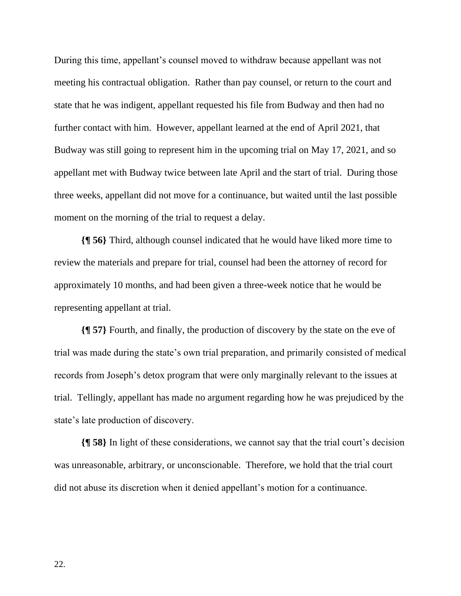During this time, appellant's counsel moved to withdraw because appellant was not meeting his contractual obligation. Rather than pay counsel, or return to the court and state that he was indigent, appellant requested his file from Budway and then had no further contact with him. However, appellant learned at the end of April 2021, that Budway was still going to represent him in the upcoming trial on May 17, 2021, and so appellant met with Budway twice between late April and the start of trial. During those three weeks, appellant did not move for a continuance, but waited until the last possible moment on the morning of the trial to request a delay.

**{¶ 56}** Third, although counsel indicated that he would have liked more time to review the materials and prepare for trial, counsel had been the attorney of record for approximately 10 months, and had been given a three-week notice that he would be representing appellant at trial.

**{¶ 57}** Fourth, and finally, the production of discovery by the state on the eve of trial was made during the state's own trial preparation, and primarily consisted of medical records from Joseph's detox program that were only marginally relevant to the issues at trial. Tellingly, appellant has made no argument regarding how he was prejudiced by the state's late production of discovery.

**{¶ 58}** In light of these considerations, we cannot say that the trial court's decision was unreasonable, arbitrary, or unconscionable. Therefore, we hold that the trial court did not abuse its discretion when it denied appellant's motion for a continuance.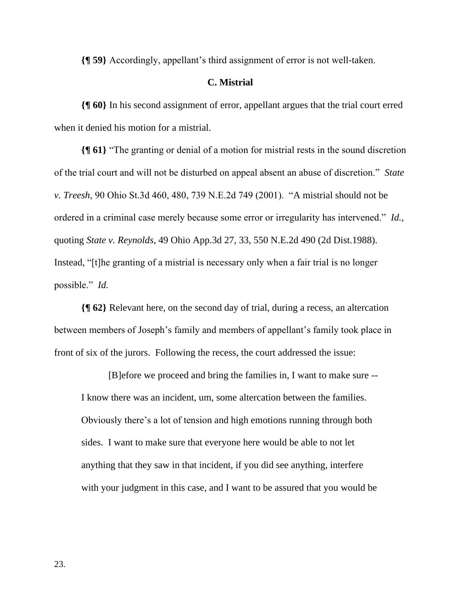**{¶ 59}** Accordingly, appellant's third assignment of error is not well-taken.

### **C. Mistrial**

**{¶ 60}** In his second assignment of error, appellant argues that the trial court erred when it denied his motion for a mistrial.

**{¶ 61}** "The granting or denial of a motion for mistrial rests in the sound discretion of the trial court and will not be disturbed on appeal absent an abuse of discretion." *State v. Treesh*, 90 Ohio St.3d 460, 480, 739 N.E.2d 749 (2001). "A mistrial should not be ordered in a criminal case merely because some error or irregularity has intervened." *Id.*, quoting *State v. Reynolds*, 49 Ohio App.3d 27, 33, 550 N.E.2d 490 (2d Dist.1988). Instead, "[t]he granting of a mistrial is necessary only when a fair trial is no longer possible." *Id.*

**{¶ 62}** Relevant here, on the second day of trial, during a recess, an altercation between members of Joseph's family and members of appellant's family took place in front of six of the jurors. Following the recess, the court addressed the issue:

[B]efore we proceed and bring the families in, I want to make sure -- I know there was an incident, um, some altercation between the families. Obviously there's a lot of tension and high emotions running through both sides. I want to make sure that everyone here would be able to not let anything that they saw in that incident, if you did see anything, interfere with your judgment in this case, and I want to be assured that you would be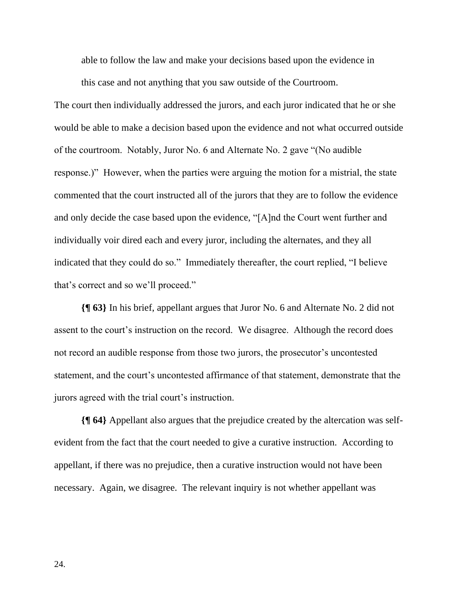able to follow the law and make your decisions based upon the evidence in

this case and not anything that you saw outside of the Courtroom.

The court then individually addressed the jurors, and each juror indicated that he or she would be able to make a decision based upon the evidence and not what occurred outside of the courtroom. Notably, Juror No. 6 and Alternate No. 2 gave "(No audible response.)" However, when the parties were arguing the motion for a mistrial, the state commented that the court instructed all of the jurors that they are to follow the evidence and only decide the case based upon the evidence, "[A]nd the Court went further and individually voir dired each and every juror, including the alternates, and they all indicated that they could do so." Immediately thereafter, the court replied, "I believe that's correct and so we'll proceed."

**{¶ 63}** In his brief, appellant argues that Juror No. 6 and Alternate No. 2 did not assent to the court's instruction on the record. We disagree. Although the record does not record an audible response from those two jurors, the prosecutor's uncontested statement, and the court's uncontested affirmance of that statement, demonstrate that the jurors agreed with the trial court's instruction.

**{¶ 64}** Appellant also argues that the prejudice created by the altercation was selfevident from the fact that the court needed to give a curative instruction. According to appellant, if there was no prejudice, then a curative instruction would not have been necessary. Again, we disagree. The relevant inquiry is not whether appellant was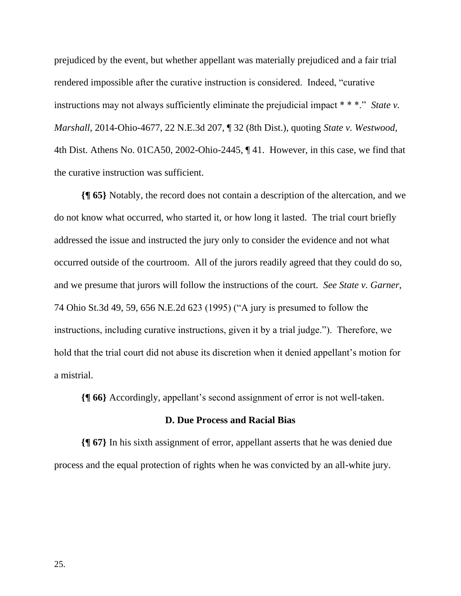prejudiced by the event, but whether appellant was materially prejudiced and a fair trial rendered impossible after the curative instruction is considered. Indeed, "curative instructions may not always sufficiently eliminate the prejudicial impact \* \* \*." *State v. Marshall*, 2014-Ohio-4677, 22 N.E.3d 207, ¶ 32 (8th Dist.), quoting *State v. Westwood*, 4th Dist. Athens No. 01CA50, 2002-Ohio-2445, ¶ 41. However, in this case, we find that the curative instruction was sufficient.

**{¶ 65}** Notably, the record does not contain a description of the altercation, and we do not know what occurred, who started it, or how long it lasted. The trial court briefly addressed the issue and instructed the jury only to consider the evidence and not what occurred outside of the courtroom. All of the jurors readily agreed that they could do so, and we presume that jurors will follow the instructions of the court. *See State v. Garner*, 74 Ohio St.3d 49, 59, 656 N.E.2d 623 (1995) ("A jury is presumed to follow the instructions, including curative instructions, given it by a trial judge."). Therefore, we hold that the trial court did not abuse its discretion when it denied appellant's motion for a mistrial.

**{¶ 66}** Accordingly, appellant's second assignment of error is not well-taken.

#### **D. Due Process and Racial Bias**

**{¶ 67}** In his sixth assignment of error, appellant asserts that he was denied due process and the equal protection of rights when he was convicted by an all-white jury.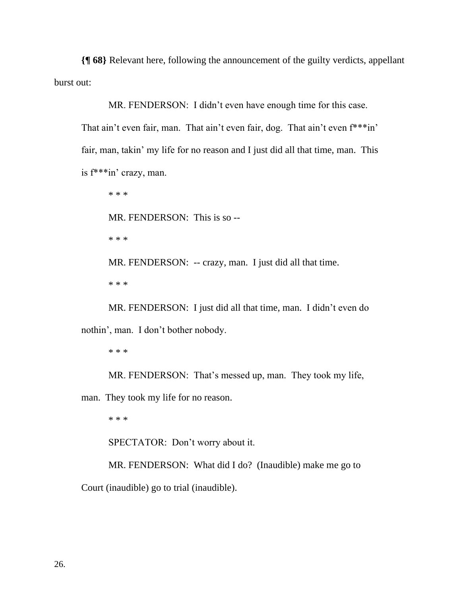**{¶ 68}** Relevant here, following the announcement of the guilty verdicts, appellant burst out:

MR. FENDERSON: I didn't even have enough time for this case.

That ain't even fair, man. That ain't even fair, dog. That ain't even f\*\*\*in' fair, man, takin' my life for no reason and I just did all that time, man. This is f\*\*\*in' crazy, man.

\* \* \* MR. FENDERSON: This is so -- \* \* \* MR. FENDERSON: -- crazy, man. I just did all that time. \* \* \*

MR. FENDERSON: I just did all that time, man. I didn't even do nothin', man. I don't bother nobody.

\* \* \*

MR. FENDERSON: That's messed up, man. They took my life,

man. They took my life for no reason.

\* \* \*

SPECTATOR: Don't worry about it.

MR. FENDERSON: What did I do? (Inaudible) make me go to Court (inaudible) go to trial (inaudible).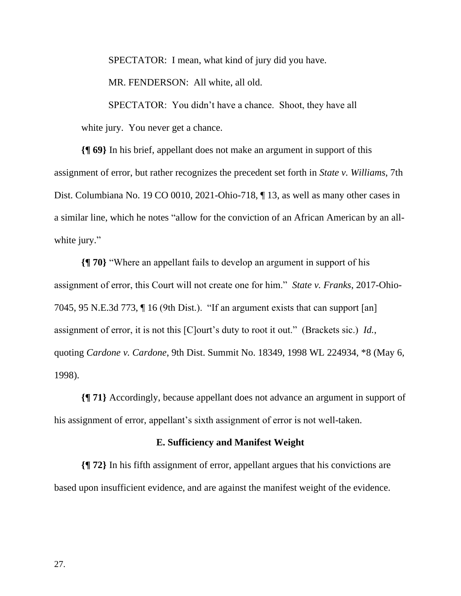SPECTATOR: I mean, what kind of jury did you have.

MR. FENDERSON: All white, all old.

SPECTATOR: You didn't have a chance. Shoot, they have all white jury. You never get a chance.

**{¶ 69}** In his brief, appellant does not make an argument in support of this assignment of error, but rather recognizes the precedent set forth in *State v. Williams*, 7th Dist. Columbiana No. 19 CO 0010, 2021-Ohio-718, ¶ 13, as well as many other cases in a similar line, which he notes "allow for the conviction of an African American by an allwhite jury."

**{¶ 70}** "Where an appellant fails to develop an argument in support of his assignment of error, this Court will not create one for him." *State v. Franks*, 2017-Ohio-7045, 95 N.E.3d 773, ¶ 16 (9th Dist.). "If an argument exists that can support [an] assignment of error, it is not this [C]ourt's duty to root it out." (Brackets sic.) *Id.*, quoting *Cardone v. Cardone*, 9th Dist. Summit No. 18349, 1998 WL 224934, \*8 (May 6, 1998).

**{¶ 71}** Accordingly, because appellant does not advance an argument in support of his assignment of error, appellant's sixth assignment of error is not well-taken.

## **E. Sufficiency and Manifest Weight**

**{¶ 72}** In his fifth assignment of error, appellant argues that his convictions are based upon insufficient evidence, and are against the manifest weight of the evidence.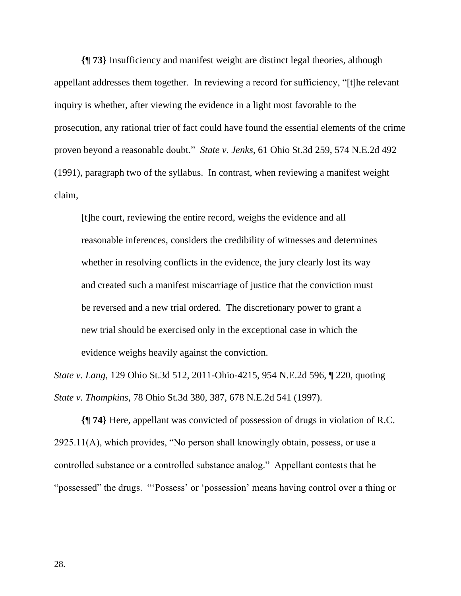**{¶ 73}** Insufficiency and manifest weight are distinct legal theories, although appellant addresses them together. In reviewing a record for sufficiency, "[t]he relevant inquiry is whether, after viewing the evidence in a light most favorable to the prosecution, any rational trier of fact could have found the essential elements of the crime proven beyond a reasonable doubt." *State v. Jenks*, 61 Ohio St.3d 259, 574 N.E.2d 492 (1991), paragraph two of the syllabus. In contrast, when reviewing a manifest weight claim,

[t]he court, reviewing the entire record, weighs the evidence and all reasonable inferences, considers the credibility of witnesses and determines whether in resolving conflicts in the evidence, the jury clearly lost its way and created such a manifest miscarriage of justice that the conviction must be reversed and a new trial ordered. The discretionary power to grant a new trial should be exercised only in the exceptional case in which the evidence weighs heavily against the conviction.

*State v. Lang*, 129 Ohio St.3d 512, 2011-Ohio-4215, 954 N.E.2d 596, ¶ 220, quoting *State v. Thompkins*, 78 Ohio St.3d 380, 387, 678 N.E.2d 541 (1997).

**{¶ 74}** Here, appellant was convicted of possession of drugs in violation of R.C. 2925.11(A), which provides, "No person shall knowingly obtain, possess, or use a controlled substance or a controlled substance analog." Appellant contests that he "possessed" the drugs. "'Possess' or 'possession' means having control over a thing or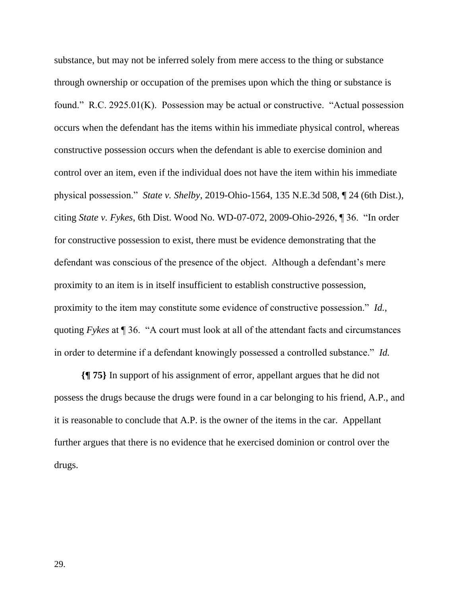substance, but may not be inferred solely from mere access to the thing or substance through ownership or occupation of the premises upon which the thing or substance is found." R.C. 2925.01(K). Possession may be actual or constructive. "Actual possession occurs when the defendant has the items within his immediate physical control, whereas constructive possession occurs when the defendant is able to exercise dominion and control over an item, even if the individual does not have the item within his immediate physical possession." *State v. Shelby*, 2019-Ohio-1564, 135 N.E.3d 508, ¶ 24 (6th Dist.), citing *State v. Fykes*, 6th Dist. Wood No. WD-07-072, 2009-Ohio-2926, ¶ 36. "In order for constructive possession to exist, there must be evidence demonstrating that the defendant was conscious of the presence of the object. Although a defendant's mere proximity to an item is in itself insufficient to establish constructive possession, proximity to the item may constitute some evidence of constructive possession." *Id.*, quoting *Fykes* at ¶ 36. "A court must look at all of the attendant facts and circumstances in order to determine if a defendant knowingly possessed a controlled substance." *Id.*

**{¶ 75}** In support of his assignment of error, appellant argues that he did not possess the drugs because the drugs were found in a car belonging to his friend, A.P., and it is reasonable to conclude that A.P. is the owner of the items in the car. Appellant further argues that there is no evidence that he exercised dominion or control over the drugs.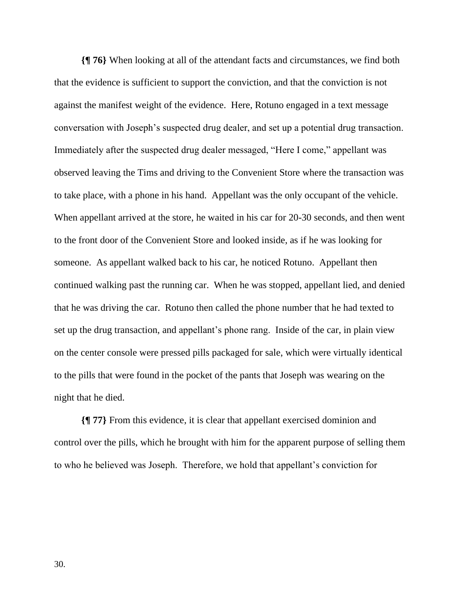**{¶ 76}** When looking at all of the attendant facts and circumstances, we find both that the evidence is sufficient to support the conviction, and that the conviction is not against the manifest weight of the evidence. Here, Rotuno engaged in a text message conversation with Joseph's suspected drug dealer, and set up a potential drug transaction. Immediately after the suspected drug dealer messaged, "Here I come," appellant was observed leaving the Tims and driving to the Convenient Store where the transaction was to take place, with a phone in his hand. Appellant was the only occupant of the vehicle. When appellant arrived at the store, he waited in his car for 20-30 seconds, and then went to the front door of the Convenient Store and looked inside, as if he was looking for someone. As appellant walked back to his car, he noticed Rotuno. Appellant then continued walking past the running car. When he was stopped, appellant lied, and denied that he was driving the car. Rotuno then called the phone number that he had texted to set up the drug transaction, and appellant's phone rang. Inside of the car, in plain view on the center console were pressed pills packaged for sale, which were virtually identical to the pills that were found in the pocket of the pants that Joseph was wearing on the night that he died.

**{¶ 77}** From this evidence, it is clear that appellant exercised dominion and control over the pills, which he brought with him for the apparent purpose of selling them to who he believed was Joseph. Therefore, we hold that appellant's conviction for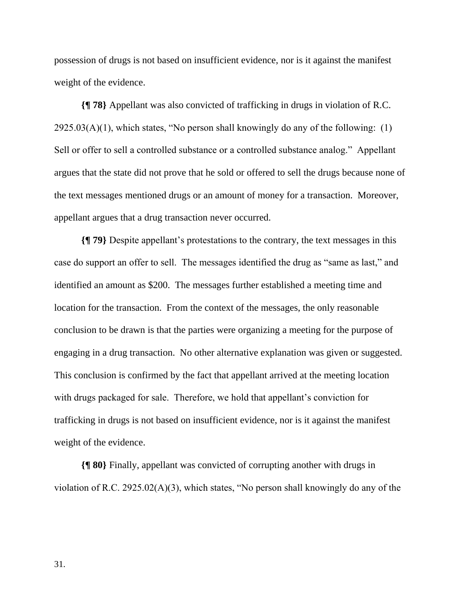possession of drugs is not based on insufficient evidence, nor is it against the manifest weight of the evidence.

**{¶ 78}** Appellant was also convicted of trafficking in drugs in violation of R.C.  $2925.03(A)(1)$ , which states, "No person shall knowingly do any of the following: (1) Sell or offer to sell a controlled substance or a controlled substance analog." Appellant argues that the state did not prove that he sold or offered to sell the drugs because none of the text messages mentioned drugs or an amount of money for a transaction. Moreover, appellant argues that a drug transaction never occurred.

**{¶ 79}** Despite appellant's protestations to the contrary, the text messages in this case do support an offer to sell. The messages identified the drug as "same as last," and identified an amount as \$200. The messages further established a meeting time and location for the transaction. From the context of the messages, the only reasonable conclusion to be drawn is that the parties were organizing a meeting for the purpose of engaging in a drug transaction. No other alternative explanation was given or suggested. This conclusion is confirmed by the fact that appellant arrived at the meeting location with drugs packaged for sale. Therefore, we hold that appellant's conviction for trafficking in drugs is not based on insufficient evidence, nor is it against the manifest weight of the evidence.

**{¶ 80}** Finally, appellant was convicted of corrupting another with drugs in violation of R.C. 2925.02(A)(3), which states, "No person shall knowingly do any of the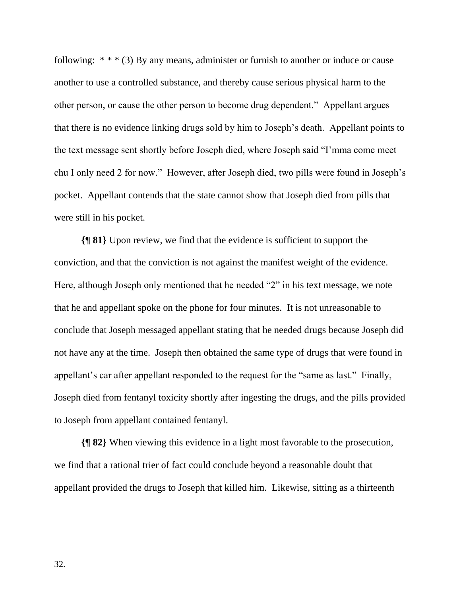following:  $***$  (3) By any means, administer or furnish to another or induce or cause another to use a controlled substance, and thereby cause serious physical harm to the other person, or cause the other person to become drug dependent." Appellant argues that there is no evidence linking drugs sold by him to Joseph's death. Appellant points to the text message sent shortly before Joseph died, where Joseph said "I'mma come meet chu I only need 2 for now." However, after Joseph died, two pills were found in Joseph's pocket. Appellant contends that the state cannot show that Joseph died from pills that were still in his pocket.

**{¶ 81}** Upon review, we find that the evidence is sufficient to support the conviction, and that the conviction is not against the manifest weight of the evidence. Here, although Joseph only mentioned that he needed "2" in his text message, we note that he and appellant spoke on the phone for four minutes. It is not unreasonable to conclude that Joseph messaged appellant stating that he needed drugs because Joseph did not have any at the time. Joseph then obtained the same type of drugs that were found in appellant's car after appellant responded to the request for the "same as last." Finally, Joseph died from fentanyl toxicity shortly after ingesting the drugs, and the pills provided to Joseph from appellant contained fentanyl.

**{¶ 82}** When viewing this evidence in a light most favorable to the prosecution, we find that a rational trier of fact could conclude beyond a reasonable doubt that appellant provided the drugs to Joseph that killed him. Likewise, sitting as a thirteenth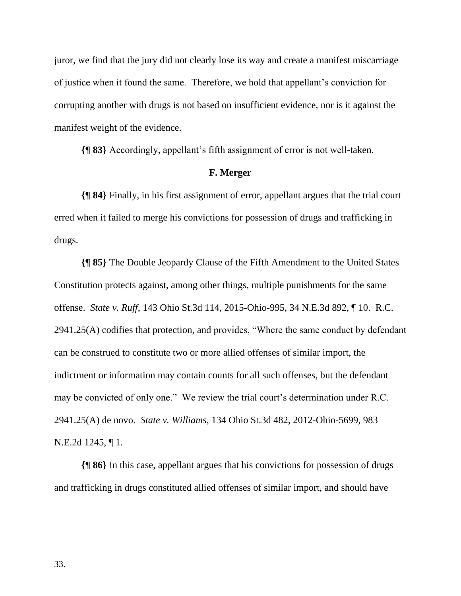juror, we find that the jury did not clearly lose its way and create a manifest miscarriage of justice when it found the same. Therefore, we hold that appellant's conviction for corrupting another with drugs is not based on insufficient evidence, nor is it against the manifest weight of the evidence.

**{¶ 83}** Accordingly, appellant's fifth assignment of error is not well-taken.

## **F. Merger**

**{¶ 84}** Finally, in his first assignment of error, appellant argues that the trial court erred when it failed to merge his convictions for possession of drugs and trafficking in drugs.

**{¶ 85}** The Double Jeopardy Clause of the Fifth Amendment to the United States Constitution protects against, among other things, multiple punishments for the same offense. *State v. Ruff*, 143 Ohio St.3d 114, 2015-Ohio-995, 34 N.E.3d 892, ¶ 10. R.C. 2941.25(A) codifies that protection, and provides, "Where the same conduct by defendant can be construed to constitute two or more allied offenses of similar import, the indictment or information may contain counts for all such offenses, but the defendant may be convicted of only one." We review the trial court's determination under R.C. 2941.25(A) de novo. *State v. Williams*, 134 Ohio St.3d 482, 2012-Ohio-5699, 983 N.E.2d 1245, ¶ 1.

**{¶ 86}** In this case, appellant argues that his convictions for possession of drugs and trafficking in drugs constituted allied offenses of similar import, and should have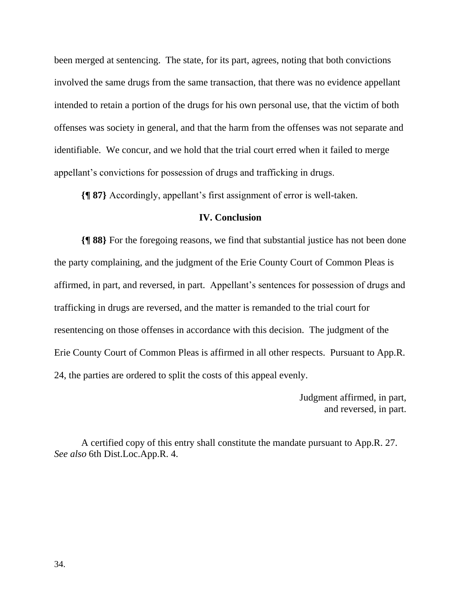been merged at sentencing. The state, for its part, agrees, noting that both convictions involved the same drugs from the same transaction, that there was no evidence appellant intended to retain a portion of the drugs for his own personal use, that the victim of both offenses was society in general, and that the harm from the offenses was not separate and identifiable. We concur, and we hold that the trial court erred when it failed to merge appellant's convictions for possession of drugs and trafficking in drugs.

**{¶ 87}** Accordingly, appellant's first assignment of error is well-taken.

## **IV. Conclusion**

**{¶ 88}** For the foregoing reasons, we find that substantial justice has not been done the party complaining, and the judgment of the Erie County Court of Common Pleas is affirmed, in part, and reversed, in part. Appellant's sentences for possession of drugs and trafficking in drugs are reversed, and the matter is remanded to the trial court for resentencing on those offenses in accordance with this decision. The judgment of the Erie County Court of Common Pleas is affirmed in all other respects. Pursuant to App.R. 24, the parties are ordered to split the costs of this appeal evenly.

> Judgment affirmed, in part, and reversed, in part.

A certified copy of this entry shall constitute the mandate pursuant to App.R. 27. *See also* 6th Dist.Loc.App.R. 4.